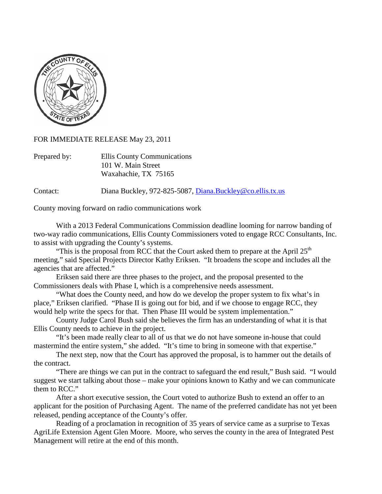

FOR IMMEDIATE RELEASE May 23, 2011

| Prepared by: | Ellis County Communications |
|--------------|-----------------------------|
|              | 101 W. Main Street          |
|              | Waxahachie, TX 75165        |

Contact: Diana Buckley, 972-825-5087, [Diana.Buckley@co.ellis.tx.us](mailto:Diana.Buckley@co.ellis.tx.us)

County moving forward on radio communications work

With a 2013 Federal Communications Commission deadline looming for narrow banding of two-way radio communications, Ellis County Commissioners voted to engage RCC Consultants, Inc. to assist with upgrading the County's systems.

"This is the proposal from RCC that the Court asked them to prepare at the April  $25<sup>th</sup>$ meeting," said Special Projects Director Kathy Eriksen. "It broadens the scope and includes all the agencies that are affected."

Eriksen said there are three phases to the project, and the proposal presented to the Commissioners deals with Phase I, which is a comprehensive needs assessment.

"What does the County need, and how do we develop the proper system to fix what's in place," Eriksen clarified. "Phase II is going out for bid, and if we choose to engage RCC, they would help write the specs for that. Then Phase III would be system implementation."

County Judge Carol Bush said she believes the firm has an understanding of what it is that Ellis County needs to achieve in the project.

"It's been made really clear to all of us that we do not have someone in-house that could mastermind the entire system," she added. "It's time to bring in someone with that expertise."

The next step, now that the Court has approved the proposal, is to hammer out the details of the contract.

"There are things we can put in the contract to safeguard the end result," Bush said. "I would suggest we start talking about those – make your opinions known to Kathy and we can communicate them to RCC."

After a short executive session, the Court voted to authorize Bush to extend an offer to an applicant for the position of Purchasing Agent. The name of the preferred candidate has not yet been released, pending acceptance of the County's offer.

Reading of a proclamation in recognition of 35 years of service came as a surprise to Texas AgriLife Extension Agent Glen Moore. Moore, who serves the county in the area of Integrated Pest Management will retire at the end of this month.